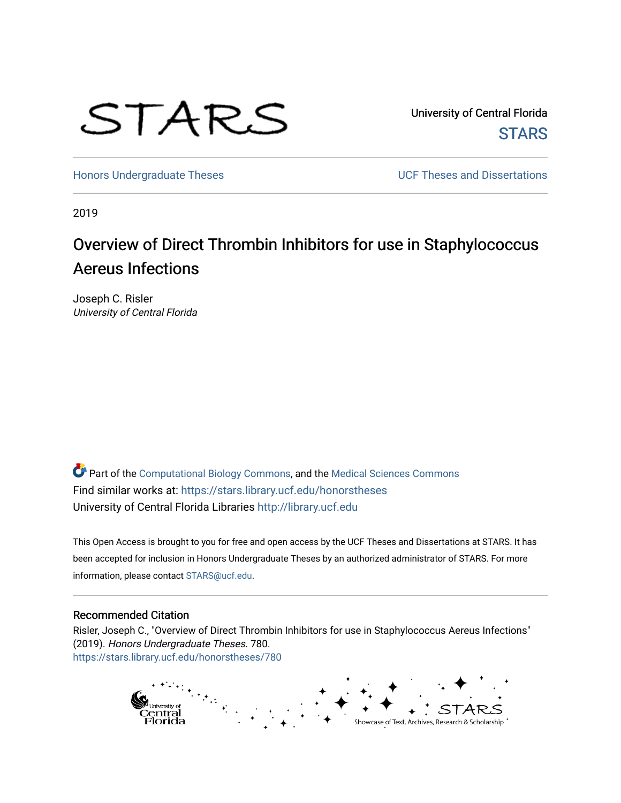

University of Central Florida **STARS** 

[Honors Undergraduate Theses](https://stars.library.ucf.edu/honorstheses) **Exercise 2018** UCF Theses and Dissertations

2019

# Overview of Direct Thrombin Inhibitors for use in Staphylococcus Aereus Infections

Joseph C. Risler University of Central Florida

Part of the [Computational Biology Commons,](http://network.bepress.com/hgg/discipline/28?utm_source=stars.library.ucf.edu%2Fhonorstheses%2F780&utm_medium=PDF&utm_campaign=PDFCoverPages) and the [Medical Sciences Commons](http://network.bepress.com/hgg/discipline/664?utm_source=stars.library.ucf.edu%2Fhonorstheses%2F780&utm_medium=PDF&utm_campaign=PDFCoverPages) Find similar works at: <https://stars.library.ucf.edu/honorstheses> University of Central Florida Libraries [http://library.ucf.edu](http://library.ucf.edu/) 

This Open Access is brought to you for free and open access by the UCF Theses and Dissertations at STARS. It has been accepted for inclusion in Honors Undergraduate Theses by an authorized administrator of STARS. For more information, please contact [STARS@ucf.edu.](mailto:STARS@ucf.edu)

#### Recommended Citation

Risler, Joseph C., "Overview of Direct Thrombin Inhibitors for use in Staphylococcus Aereus Infections" (2019). Honors Undergraduate Theses. 780. [https://stars.library.ucf.edu/honorstheses/780](https://stars.library.ucf.edu/honorstheses/780?utm_source=stars.library.ucf.edu%2Fhonorstheses%2F780&utm_medium=PDF&utm_campaign=PDFCoverPages) 

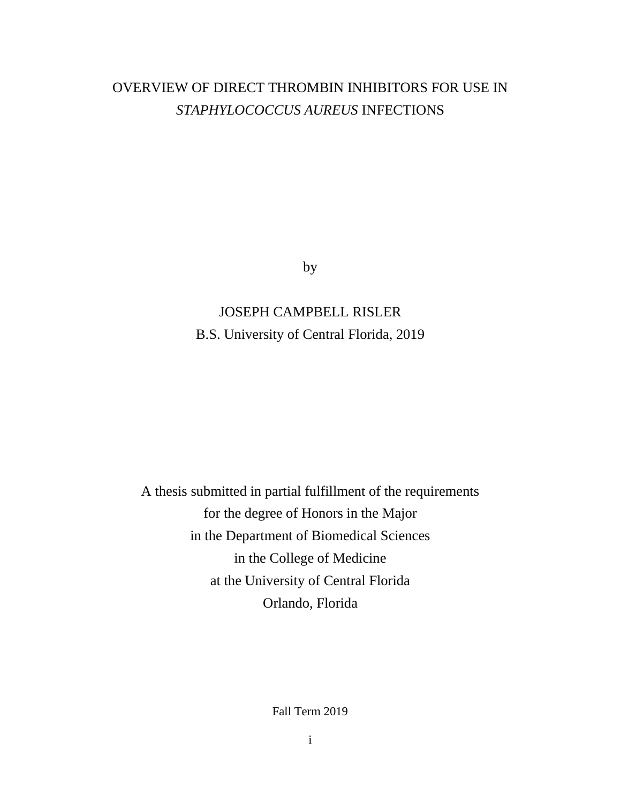# OVERVIEW OF DIRECT THROMBIN INHIBITORS FOR USE IN *STAPHYLOCOCCUS AUREUS* INFECTIONS

by

# JOSEPH CAMPBELL RISLER B.S. University of Central Florida, 2019

A thesis submitted in partial fulfillment of the requirements for the degree of Honors in the Major in the Department of Biomedical Sciences in the College of Medicine at the University of Central Florida Orlando, Florida

Fall Term 2019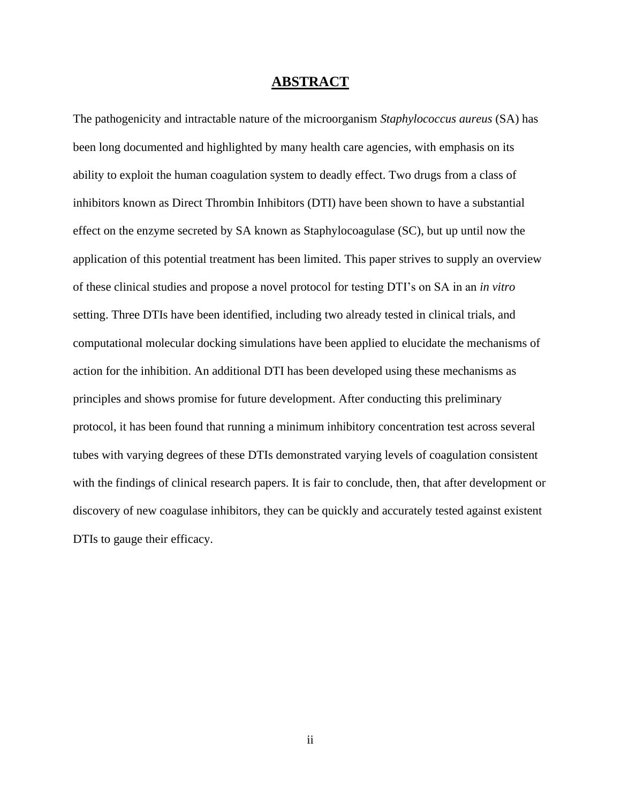#### **ABSTRACT**

The pathogenicity and intractable nature of the microorganism *Staphylococcus aureus* (SA) has been long documented and highlighted by many health care agencies, with emphasis on its ability to exploit the human coagulation system to deadly effect. Two drugs from a class of inhibitors known as Direct Thrombin Inhibitors (DTI) have been shown to have a substantial effect on the enzyme secreted by SA known as Staphylocoagulase (SC), but up until now the application of this potential treatment has been limited. This paper strives to supply an overview of these clinical studies and propose a novel protocol for testing DTI's on SA in an *in vitro*  setting. Three DTIs have been identified, including two already tested in clinical trials, and computational molecular docking simulations have been applied to elucidate the mechanisms of action for the inhibition. An additional DTI has been developed using these mechanisms as principles and shows promise for future development. After conducting this preliminary protocol, it has been found that running a minimum inhibitory concentration test across several tubes with varying degrees of these DTIs demonstrated varying levels of coagulation consistent with the findings of clinical research papers. It is fair to conclude, then, that after development or discovery of new coagulase inhibitors, they can be quickly and accurately tested against existent DTIs to gauge their efficacy.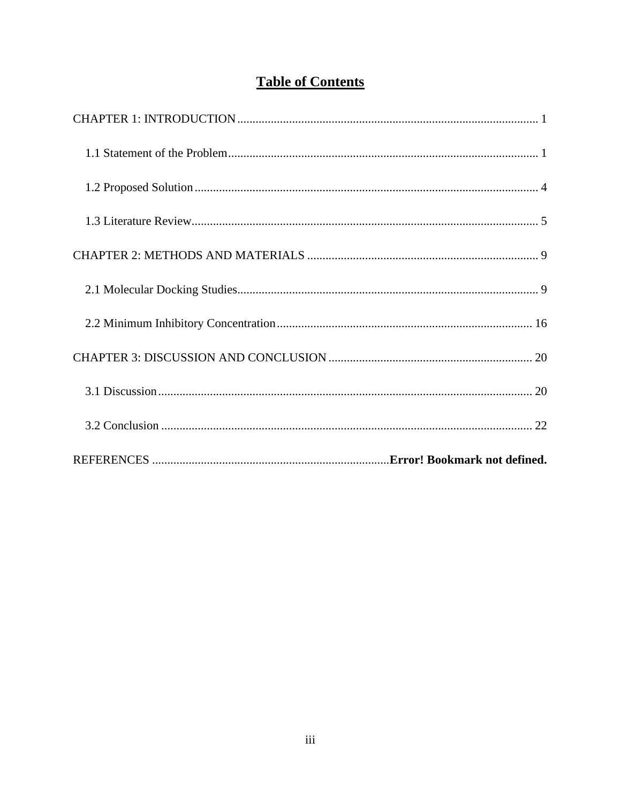# **Table of Contents**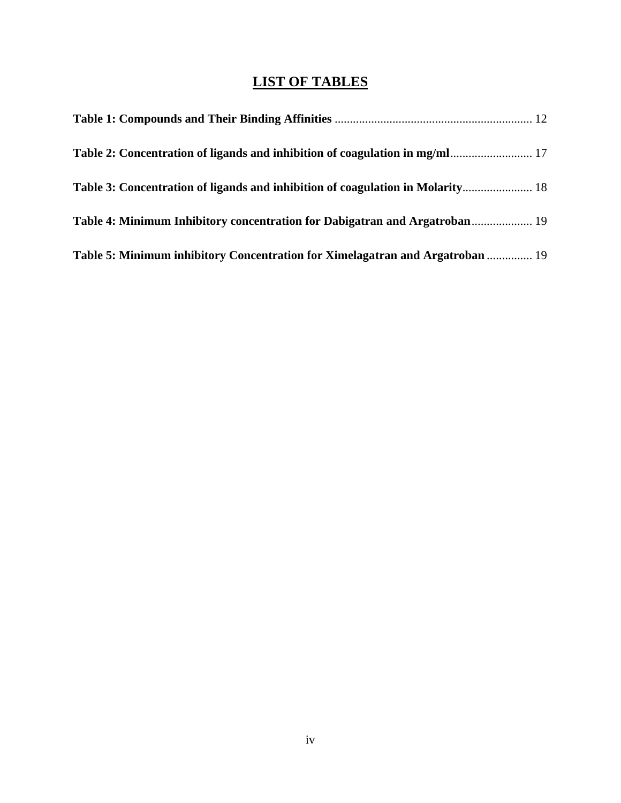# **LIST OF TABLES**

| Table 2: Concentration of ligands and inhibition of coagulation in mg/ml 17    |  |
|--------------------------------------------------------------------------------|--|
| Table 3: Concentration of ligands and inhibition of coagulation in Molarity 18 |  |
| Table 4: Minimum Inhibitory concentration for Dabigatran and Argatroban 19     |  |
| Table 5: Minimum inhibitory Concentration for Ximelagatran and Argatroban  19  |  |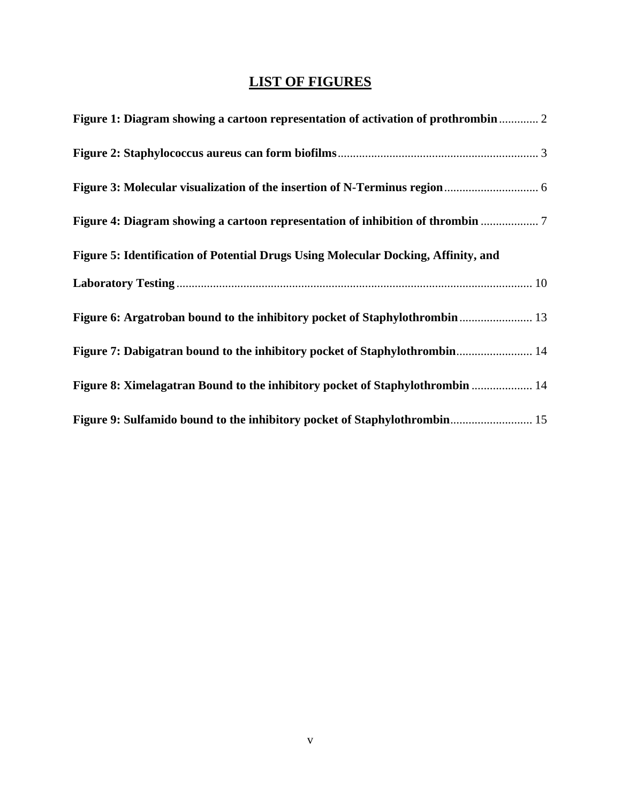# **LIST OF FIGURES**

| Figure 1: Diagram showing a cartoon representation of activation of prothrombin 2  |
|------------------------------------------------------------------------------------|
|                                                                                    |
|                                                                                    |
| Figure 4: Diagram showing a cartoon representation of inhibition of thrombin 7     |
| Figure 5: Identification of Potential Drugs Using Molecular Docking, Affinity, and |
|                                                                                    |
|                                                                                    |
| Figure 7: Dabigatran bound to the inhibitory pocket of Staphylothrombin 14         |
| Figure 8: Ximelagatran Bound to the inhibitory pocket of Staphylothrombin  14      |
| Figure 9: Sulfamido bound to the inhibitory pocket of Staphylothrombin 15          |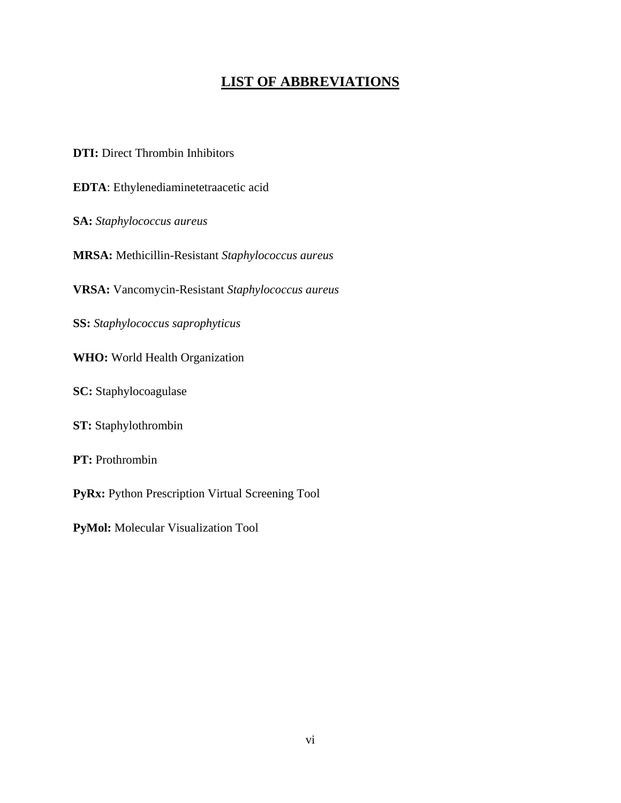## **LIST OF ABBREVIATIONS**

**DTI:** Direct Thrombin Inhibitors

**EDTA**: Ethylenediaminetetraacetic acid

**SA:** *Staphylococcus aureus*

**MRSA:** Methicillin-Resistant *Staphylococcus aureus*

**VRSA:** Vancomycin-Resistant *Staphylococcus aureus*

**SS:** *Staphylococcus saprophyticus*

**WHO:** World Health Organization

**SC:** Staphylocoagulase

**ST:** Staphylothrombin

**PT:** Prothrombin

PyRx: Python Prescription Virtual Screening Tool

**PyMol:** Molecular Visualization Tool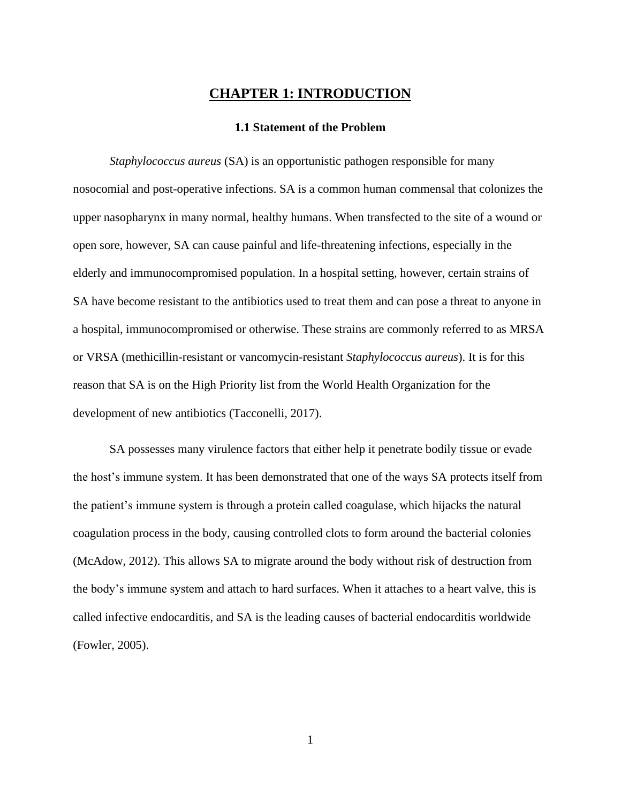### **CHAPTER 1: INTRODUCTION**

#### **1.1 Statement of the Problem**

<span id="page-7-1"></span><span id="page-7-0"></span>*Staphylococcus aureus* (SA) is an opportunistic pathogen responsible for many nosocomial and post-operative infections. SA is a common human commensal that colonizes the upper nasopharynx in many normal, healthy humans. When transfected to the site of a wound or open sore, however, SA can cause painful and life-threatening infections, especially in the elderly and immunocompromised population. In a hospital setting, however, certain strains of SA have become resistant to the antibiotics used to treat them and can pose a threat to anyone in a hospital, immunocompromised or otherwise. These strains are commonly referred to as MRSA or VRSA (methicillin-resistant or vancomycin-resistant *Staphylococcus aureus*). It is for this reason that SA is on the High Priority list from the World Health Organization for the development of new antibiotics (Tacconelli, 2017).

SA possesses many virulence factors that either help it penetrate bodily tissue or evade the host's immune system. It has been demonstrated that one of the ways SA protects itself from the patient's immune system is through a protein called coagulase, which hijacks the natural coagulation process in the body, causing controlled clots to form around the bacterial colonies (McAdow, 2012). This allows SA to migrate around the body without risk of destruction from the body's immune system and attach to hard surfaces. When it attaches to a heart valve, this is called infective endocarditis, and SA is the leading causes of bacterial endocarditis worldwide (Fowler, 2005).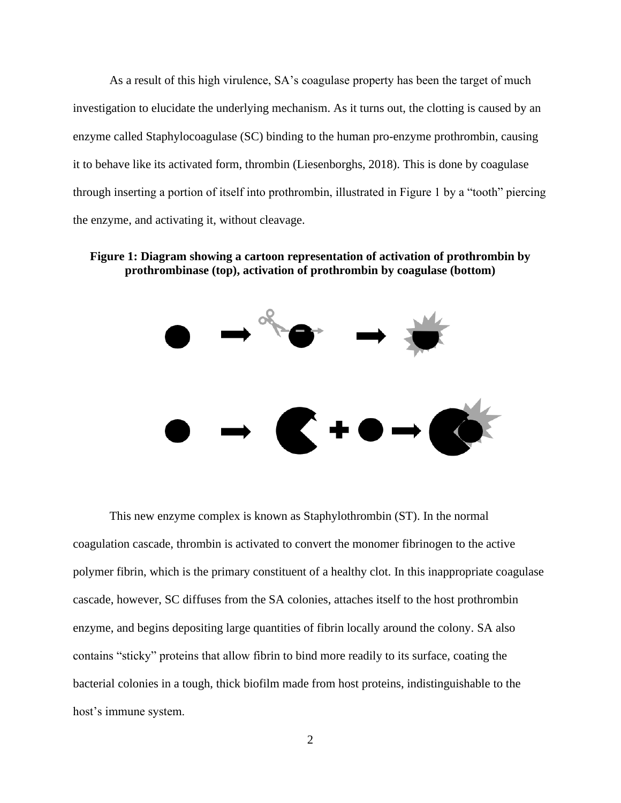As a result of this high virulence, SA's coagulase property has been the target of much investigation to elucidate the underlying mechanism. As it turns out, the clotting is caused by an enzyme called Staphylocoagulase (SC) binding to the human pro-enzyme prothrombin, causing it to behave like its activated form, thrombin (Liesenborghs, 2018). This is done by coagulase through inserting a portion of itself into prothrombin, illustrated in Figure 1 by a "tooth" piercing the enzyme, and activating it, without cleavage.

#### <span id="page-8-0"></span>**Figure 1: Diagram showing a cartoon representation of activation of prothrombin by prothrombinase (top), activation of prothrombin by coagulase (bottom)**



This new enzyme complex is known as Staphylothrombin (ST). In the normal coagulation cascade, thrombin is activated to convert the monomer fibrinogen to the active polymer fibrin, which is the primary constituent of a healthy clot. In this inappropriate coagulase cascade, however, SC diffuses from the SA colonies, attaches itself to the host prothrombin enzyme, and begins depositing large quantities of fibrin locally around the colony. SA also contains "sticky" proteins that allow fibrin to bind more readily to its surface, coating the bacterial colonies in a tough, thick biofilm made from host proteins, indistinguishable to the host's immune system.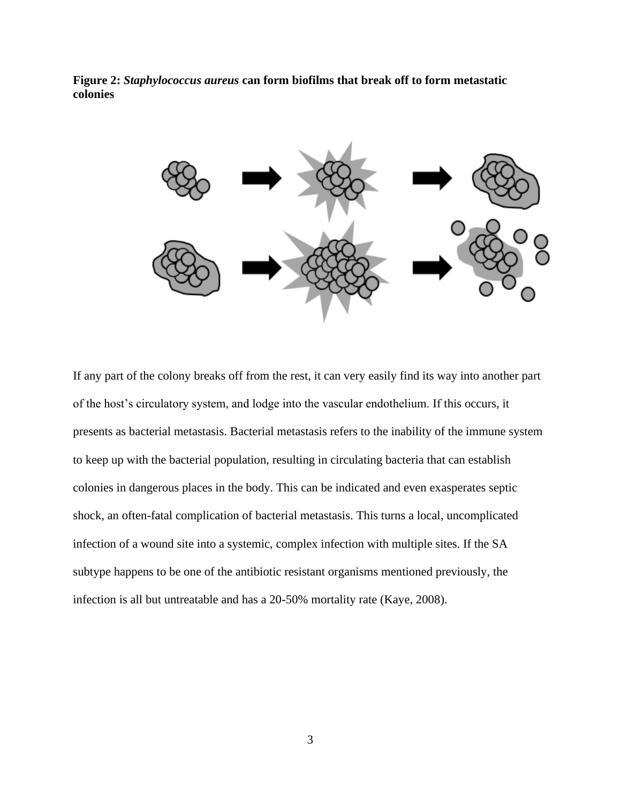<span id="page-9-0"></span>



If any part of the colony breaks off from the rest, it can very easily find its way into another part of the host's circulatory system, and lodge into the vascular endothelium. If this occurs, it presents as bacterial metastasis. Bacterial metastasis refers to the inability of the immune system to keep up with the bacterial population, resulting in circulating bacteria that can establish colonies in dangerous places in the body. This can be indicated and even exasperates septic shock, an often-fatal complication of bacterial metastasis. This turns a local, uncomplicated infection of a wound site into a systemic, complex infection with multiple sites. If the SA subtype happens to be one of the antibiotic resistant organisms mentioned previously, the infection is all but untreatable and has a 20-50% mortality rate (Kaye, 2008).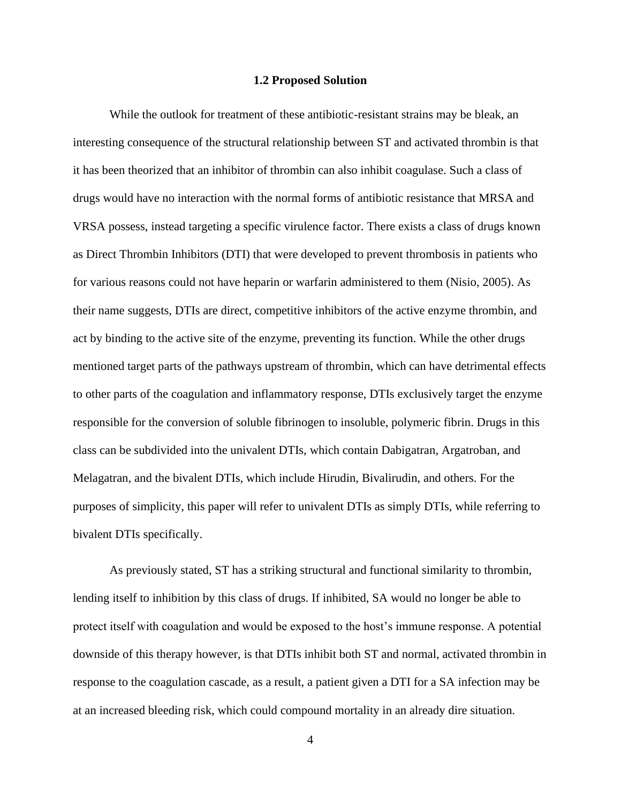#### **1.2 Proposed Solution**

<span id="page-10-0"></span>While the outlook for treatment of these antibiotic-resistant strains may be bleak, an interesting consequence of the structural relationship between ST and activated thrombin is that it has been theorized that an inhibitor of thrombin can also inhibit coagulase. Such a class of drugs would have no interaction with the normal forms of antibiotic resistance that MRSA and VRSA possess, instead targeting a specific virulence factor. There exists a class of drugs known as Direct Thrombin Inhibitors (DTI) that were developed to prevent thrombosis in patients who for various reasons could not have heparin or warfarin administered to them (Nisio, 2005). As their name suggests, DTIs are direct, competitive inhibitors of the active enzyme thrombin, and act by binding to the active site of the enzyme, preventing its function. While the other drugs mentioned target parts of the pathways upstream of thrombin, which can have detrimental effects to other parts of the coagulation and inflammatory response, DTIs exclusively target the enzyme responsible for the conversion of soluble fibrinogen to insoluble, polymeric fibrin. Drugs in this class can be subdivided into the univalent DTIs, which contain Dabigatran, Argatroban, and Melagatran, and the bivalent DTIs, which include Hirudin, Bivalirudin, and others. For the purposes of simplicity, this paper will refer to univalent DTIs as simply DTIs, while referring to bivalent DTIs specifically.

As previously stated, ST has a striking structural and functional similarity to thrombin, lending itself to inhibition by this class of drugs. If inhibited, SA would no longer be able to protect itself with coagulation and would be exposed to the host's immune response. A potential downside of this therapy however, is that DTIs inhibit both ST and normal, activated thrombin in response to the coagulation cascade, as a result, a patient given a DTI for a SA infection may be at an increased bleeding risk, which could compound mortality in an already dire situation.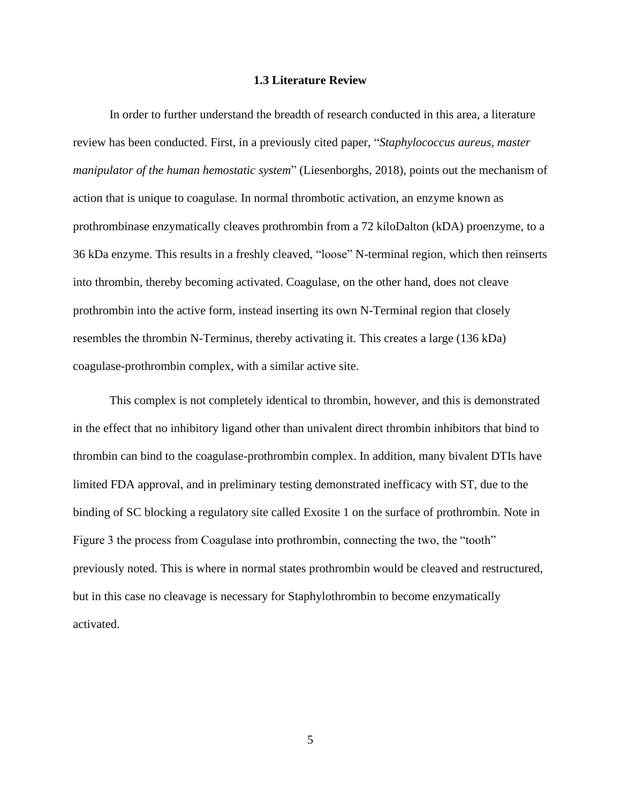#### **1.3 Literature Review**

<span id="page-11-0"></span>In order to further understand the breadth of research conducted in this area, a literature review has been conducted. First, in a previously cited paper, "*Staphylococcus aureus, master manipulator of the human hemostatic system*" (Liesenborghs, 2018), points out the mechanism of action that is unique to coagulase. In normal thrombotic activation, an enzyme known as prothrombinase enzymatically cleaves prothrombin from a 72 kiloDalton (kDA) proenzyme, to a 36 kDa enzyme. This results in a freshly cleaved, "loose" N-terminal region, which then reinserts into thrombin, thereby becoming activated. Coagulase, on the other hand, does not cleave prothrombin into the active form, instead inserting its own N-Terminal region that closely resembles the thrombin N-Terminus, thereby activating it. This creates a large (136 kDa) coagulase-prothrombin complex, with a similar active site.

This complex is not completely identical to thrombin, however, and this is demonstrated in the effect that no inhibitory ligand other than univalent direct thrombin inhibitors that bind to thrombin can bind to the coagulase-prothrombin complex. In addition, many bivalent DTIs have limited FDA approval, and in preliminary testing demonstrated inefficacy with ST, due to the binding of SC blocking a regulatory site called Exosite 1 on the surface of prothrombin. Note in Figure 3 the process from Coagulase into prothrombin, connecting the two, the "tooth" previously noted. This is where in normal states prothrombin would be cleaved and restructured, but in this case no cleavage is necessary for Staphylothrombin to become enzymatically activated.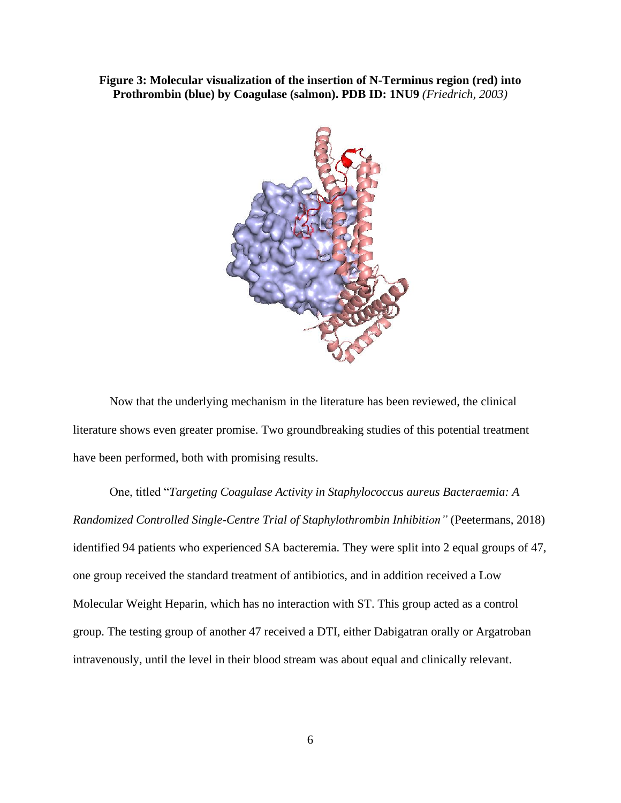#### <span id="page-12-0"></span>**Figure 3: Molecular visualization of the insertion of N-Terminus region (red) into Prothrombin (blue) by Coagulase (salmon). PDB ID: 1NU9** *(Friedrich, 2003)*



Now that the underlying mechanism in the literature has been reviewed, the clinical literature shows even greater promise. Two groundbreaking studies of this potential treatment have been performed, both with promising results.

One, titled "*Targeting Coagulase Activity in Staphylococcus aureus Bacteraemia: A Randomized Controlled Single-Centre Trial of Staphylothrombin Inhibition"* (Peetermans, 2018) identified 94 patients who experienced SA bacteremia. They were split into 2 equal groups of 47, one group received the standard treatment of antibiotics, and in addition received a Low Molecular Weight Heparin, which has no interaction with ST. This group acted as a control group. The testing group of another 47 received a DTI, either Dabigatran orally or Argatroban intravenously, until the level in their blood stream was about equal and clinically relevant.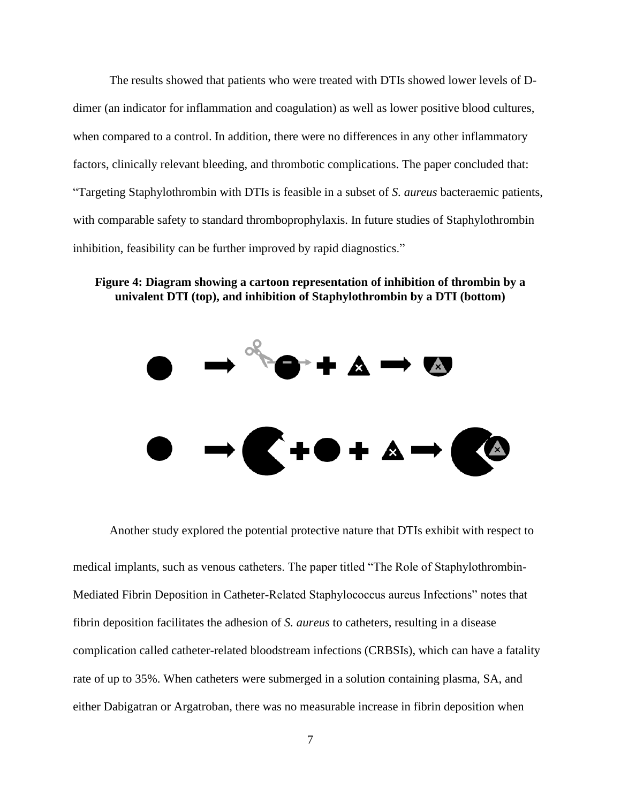The results showed that patients who were treated with DTIs showed lower levels of Ddimer (an indicator for inflammation and coagulation) as well as lower positive blood cultures, when compared to a control. In addition, there were no differences in any other inflammatory factors, clinically relevant bleeding, and thrombotic complications. The paper concluded that: "Targeting Staphylothrombin with DTIs is feasible in a subset of *S. aureus* bacteraemic patients, with comparable safety to standard thromboprophylaxis. In future studies of Staphylothrombin inhibition, feasibility can be further improved by rapid diagnostics."

#### <span id="page-13-0"></span>**Figure 4: Diagram showing a cartoon representation of inhibition of thrombin by a univalent DTI (top), and inhibition of Staphylothrombin by a DTI (bottom)**



Another study explored the potential protective nature that DTIs exhibit with respect to

medical implants, such as venous catheters. The paper titled "The Role of Staphylothrombin-Mediated Fibrin Deposition in Catheter-Related Staphylococcus aureus Infections" notes that fibrin deposition facilitates the adhesion of *S. aureus* to catheters, resulting in a disease complication called catheter-related bloodstream infections (CRBSIs), which can have a fatality rate of up to 35%. When catheters were submerged in a solution containing plasma, SA, and either Dabigatran or Argatroban, there was no measurable increase in fibrin deposition when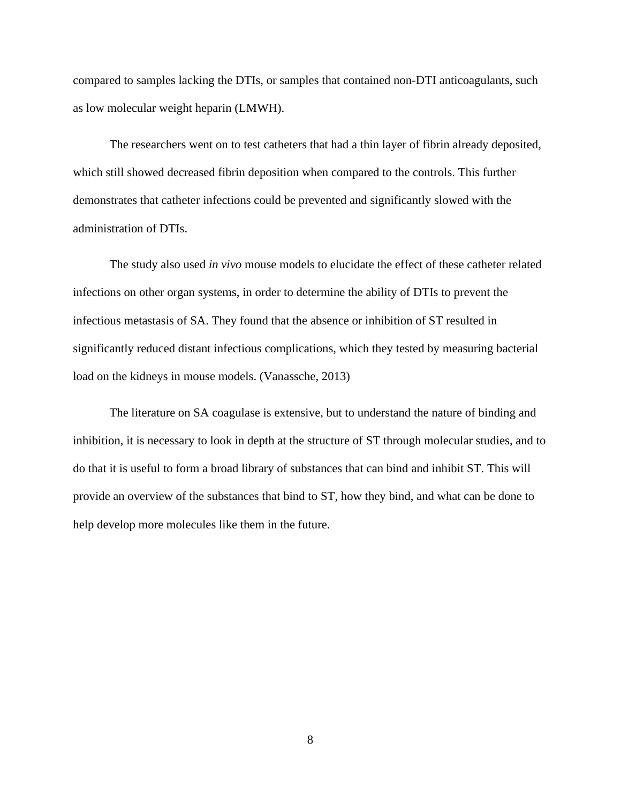compared to samples lacking the DTIs, or samples that contained non-DTI anticoagulants, such as low molecular weight heparin (LMWH).

The researchers went on to test catheters that had a thin layer of fibrin already deposited, which still showed decreased fibrin deposition when compared to the controls. This further demonstrates that catheter infections could be prevented and significantly slowed with the administration of DTIs.

The study also used *in vivo* mouse models to elucidate the effect of these catheter related infections on other organ systems, in order to determine the ability of DTIs to prevent the infectious metastasis of SA. They found that the absence or inhibition of ST resulted in significantly reduced distant infectious complications, which they tested by measuring bacterial load on the kidneys in mouse models. (Vanassche, 2013)

The literature on SA coagulase is extensive, but to understand the nature of binding and inhibition, it is necessary to look in depth at the structure of ST through molecular studies, and to do that it is useful to form a broad library of substances that can bind and inhibit ST. This will provide an overview of the substances that bind to ST, how they bind, and what can be done to help develop more molecules like them in the future.

8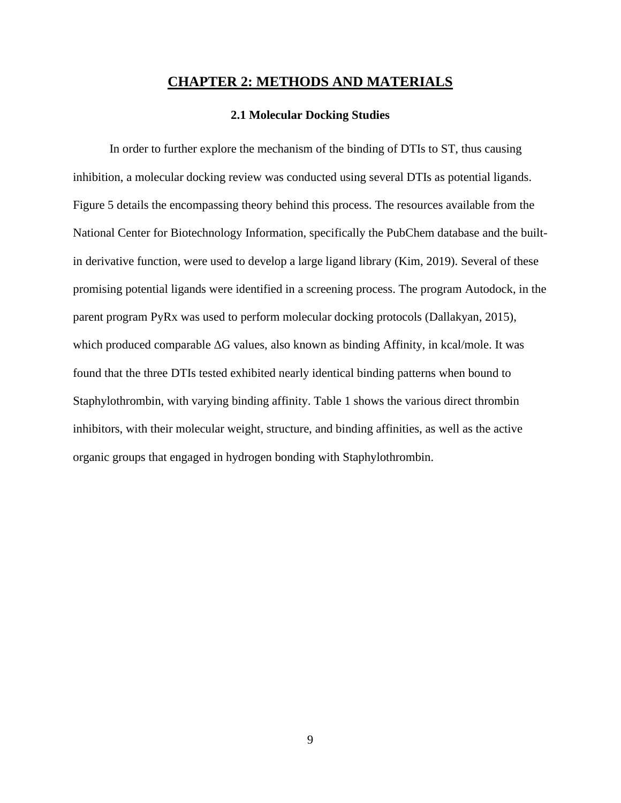### **CHAPTER 2: METHODS AND MATERIALS**

#### **2.1 Molecular Docking Studies**

<span id="page-15-1"></span><span id="page-15-0"></span>In order to further explore the mechanism of the binding of DTIs to ST, thus causing inhibition, a molecular docking review was conducted using several DTIs as potential ligands. Figure 5 details the encompassing theory behind this process. The resources available from the National Center for Biotechnology Information, specifically the PubChem database and the builtin derivative function, were used to develop a large ligand library (Kim, 2019). Several of these promising potential ligands were identified in a screening process. The program Autodock, in the parent program PyRx was used to perform molecular docking protocols (Dallakyan, 2015), which produced comparable ΔG values, also known as binding Affinity, in kcal/mole. It was found that the three DTIs tested exhibited nearly identical binding patterns when bound to Staphylothrombin, with varying binding affinity. Table 1 shows the various direct thrombin inhibitors, with their molecular weight, structure, and binding affinities, as well as the active organic groups that engaged in hydrogen bonding with Staphylothrombin.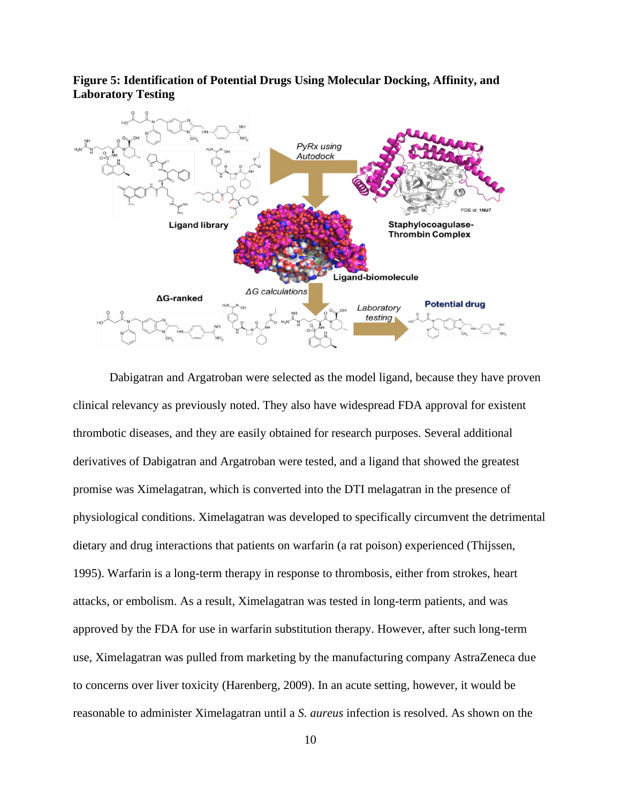

<span id="page-16-0"></span>**Figure 5: Identification of Potential Drugs Using Molecular Docking, Affinity, and Laboratory Testing**

Dabigatran and Argatroban were selected as the model ligand, because they have proven clinical relevancy as previously noted. They also have widespread FDA approval for existent thrombotic diseases, and they are easily obtained for research purposes. Several additional derivatives of Dabigatran and Argatroban were tested, and a ligand that showed the greatest promise was Ximelagatran, which is converted into the DTI melagatran in the presence of physiological conditions. Ximelagatran was developed to specifically circumvent the detrimental dietary and drug interactions that patients on warfarin (a rat poison) experienced (Thijssen, 1995). Warfarin is a long-term therapy in response to thrombosis, either from strokes, heart attacks, or embolism. As a result, Ximelagatran was tested in long-term patients, and was approved by the FDA for use in warfarin substitution therapy. However, after such long-term use, Ximelagatran was pulled from marketing by the manufacturing company AstraZeneca due to concerns over liver toxicity (Harenberg, 2009). In an acute setting, however, it would be reasonable to administer Ximelagatran until a *S. aureus* infection is resolved. As shown on the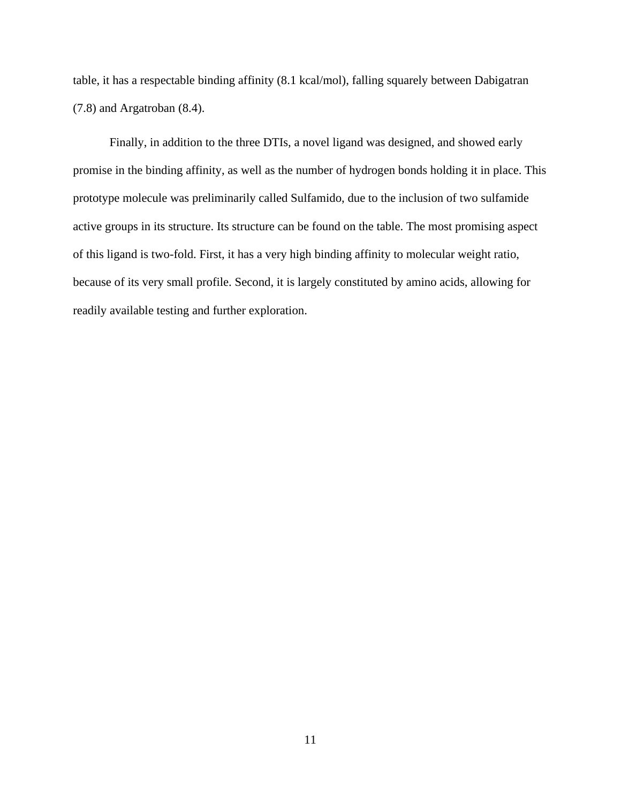table, it has a respectable binding affinity (8.1 kcal/mol), falling squarely between Dabigatran (7.8) and Argatroban (8.4).

Finally, in addition to the three DTIs, a novel ligand was designed, and showed early promise in the binding affinity, as well as the number of hydrogen bonds holding it in place. This prototype molecule was preliminarily called Sulfamido, due to the inclusion of two sulfamide active groups in its structure. Its structure can be found on the table. The most promising aspect of this ligand is two-fold. First, it has a very high binding affinity to molecular weight ratio, because of its very small profile. Second, it is largely constituted by amino acids, allowing for readily available testing and further exploration.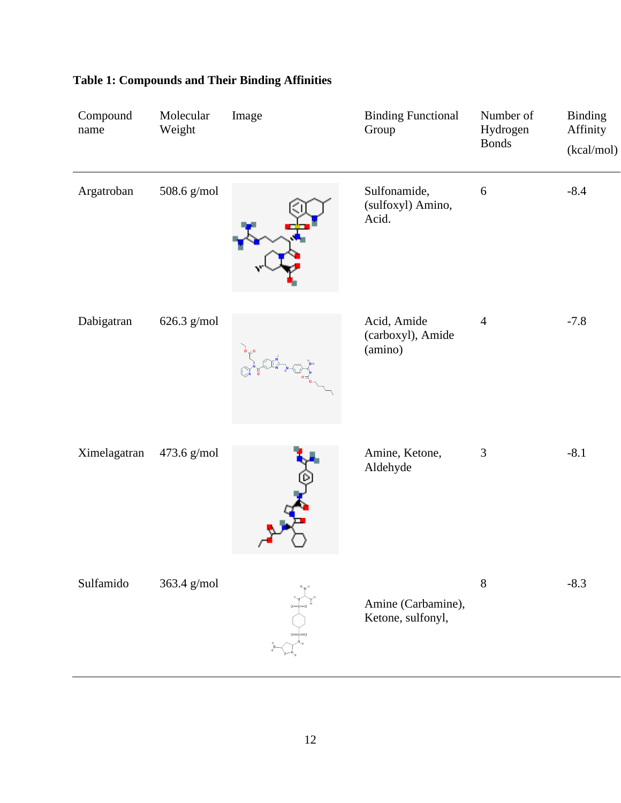| Compound<br>name | Molecular<br>Weight | Image | <b>Binding Functional</b><br>Group          | Number of<br>Hydrogen<br><b>Bonds</b> | <b>Binding</b><br>Affinity<br>(kcal/mol) |
|------------------|---------------------|-------|---------------------------------------------|---------------------------------------|------------------------------------------|
| Argatroban       | 508.6 g/mol         |       | Sulfonamide,<br>(sulfoxyl) Amino,<br>Acid.  | $\sqrt{6}$                            | $-8.4$                                   |
| Dabigatran       | 626.3 g/mol         |       | Acid, Amide<br>(carboxyl), Amide<br>(amino) | $\overline{4}$                        | $-7.8$                                   |
| Ximelagatran     | 473.6 g/mol         |       | Amine, Ketone,<br>Aldehyde                  | $\mathfrak 3$                         | $-8.1$                                   |
| Sulfamido        | 363.4 g/mol         |       | Amine (Carbamine),<br>Ketone, sulfonyl,     | $8\,$                                 | $-8.3$                                   |

## <span id="page-18-0"></span>**Table 1: Compounds and Their Binding Affinities**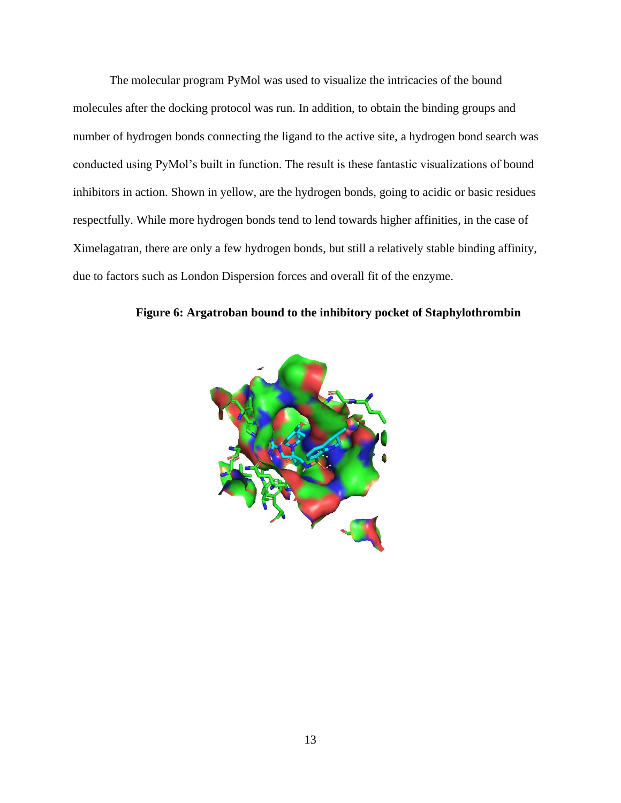The molecular program PyMol was used to visualize the intricacies of the bound molecules after the docking protocol was run. In addition, to obtain the binding groups and number of hydrogen bonds connecting the ligand to the active site, a hydrogen bond search was conducted using PyMol's built in function. The result is these fantastic visualizations of bound inhibitors in action. Shown in yellow, are the hydrogen bonds, going to acidic or basic residues respectfully. While more hydrogen bonds tend to lend towards higher affinities, in the case of Ximelagatran, there are only a few hydrogen bonds, but still a relatively stable binding affinity, due to factors such as London Dispersion forces and overall fit of the enzyme.

<span id="page-19-0"></span>

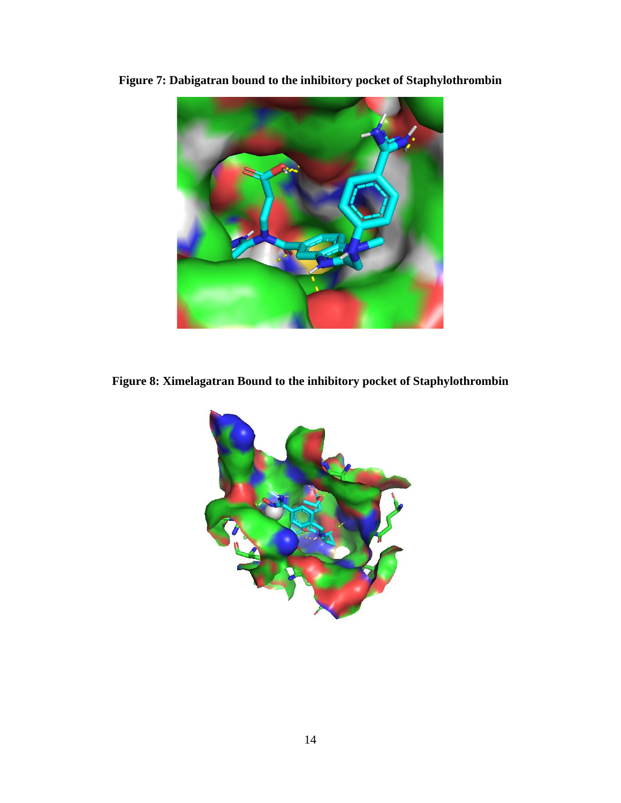<span id="page-20-0"></span>

**Figure 7: Dabigatran bound to the inhibitory pocket of Staphylothrombin**

<span id="page-20-1"></span>**Figure 8: Ximelagatran Bound to the inhibitory pocket of Staphylothrombin**

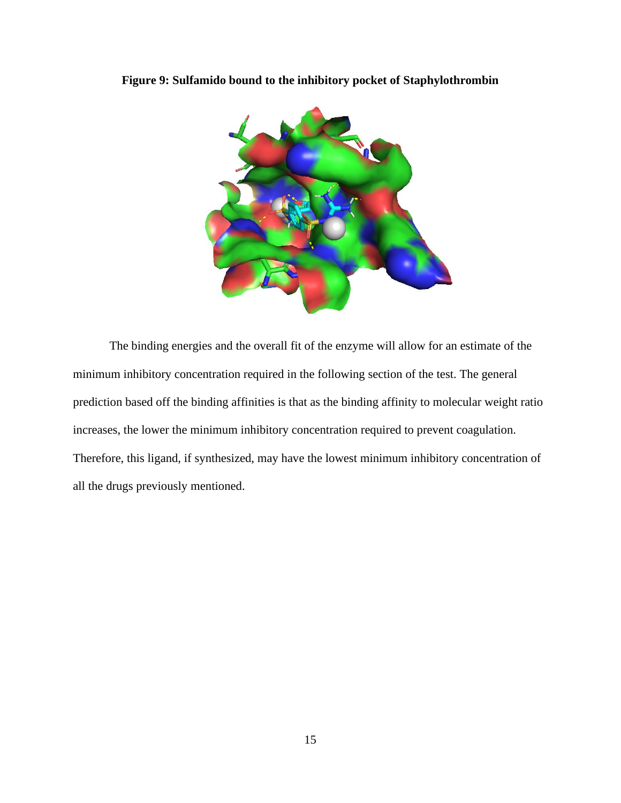

<span id="page-21-0"></span>**Figure 9: Sulfamido bound to the inhibitory pocket of Staphylothrombin**

The binding energies and the overall fit of the enzyme will allow for an estimate of the minimum inhibitory concentration required in the following section of the test. The general prediction based off the binding affinities is that as the binding affinity to molecular weight ratio increases, the lower the minimum inhibitory concentration required to prevent coagulation. Therefore, this ligand, if synthesized, may have the lowest minimum inhibitory concentration of all the drugs previously mentioned.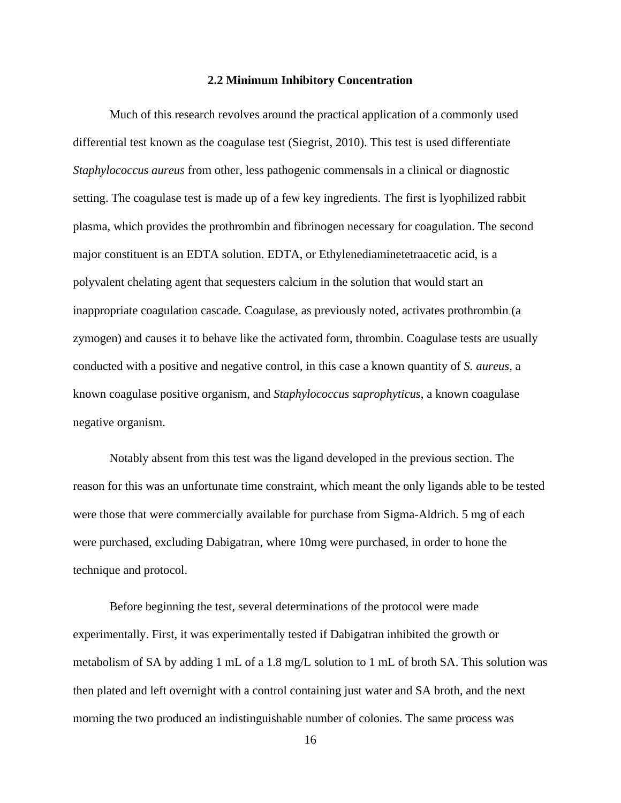#### **2.2 Minimum Inhibitory Concentration**

<span id="page-22-0"></span>Much of this research revolves around the practical application of a commonly used differential test known as the coagulase test (Siegrist, 2010). This test is used differentiate *Staphylococcus aureus* from other, less pathogenic commensals in a clinical or diagnostic setting. The coagulase test is made up of a few key ingredients. The first is lyophilized rabbit plasma, which provides the prothrombin and fibrinogen necessary for coagulation. The second major constituent is an EDTA solution. EDTA, or Ethylenediaminetetraacetic acid, is a polyvalent chelating agent that sequesters calcium in the solution that would start an inappropriate coagulation cascade. Coagulase, as previously noted, activates prothrombin (a zymogen) and causes it to behave like the activated form, thrombin. Coagulase tests are usually conducted with a positive and negative control, in this case a known quantity of *S. aureus*, a known coagulase positive organism, and *Staphylococcus saprophyticus*, a known coagulase negative organism.

Notably absent from this test was the ligand developed in the previous section. The reason for this was an unfortunate time constraint, which meant the only ligands able to be tested were those that were commercially available for purchase from Sigma-Aldrich. 5 mg of each were purchased, excluding Dabigatran, where 10mg were purchased, in order to hone the technique and protocol.

Before beginning the test, several determinations of the protocol were made experimentally. First, it was experimentally tested if Dabigatran inhibited the growth or metabolism of SA by adding 1 mL of a 1.8 mg/L solution to 1 mL of broth SA. This solution was then plated and left overnight with a control containing just water and SA broth, and the next morning the two produced an indistinguishable number of colonies. The same process was

16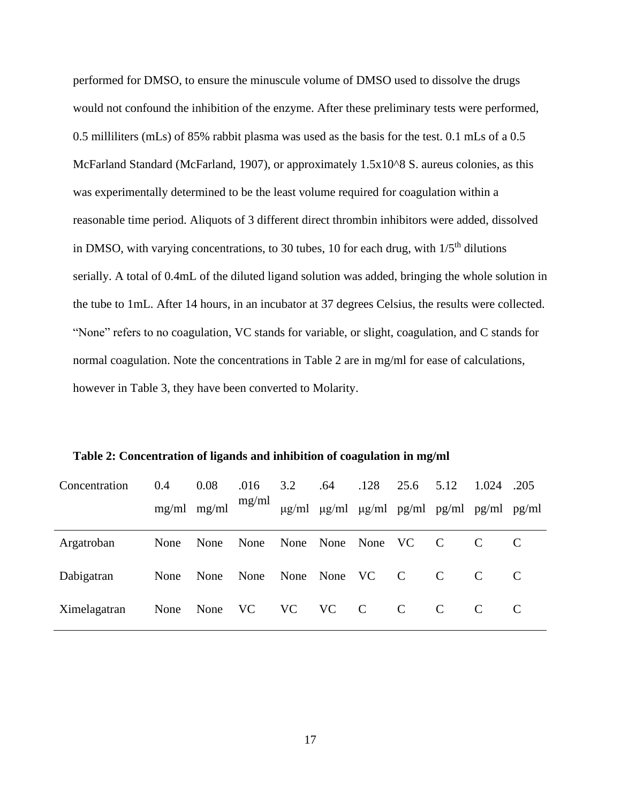performed for DMSO, to ensure the minuscule volume of DMSO used to dissolve the drugs would not confound the inhibition of the enzyme. After these preliminary tests were performed, 0.5 milliliters (mLs) of 85% rabbit plasma was used as the basis for the test. 0.1 mLs of a 0.5 McFarland Standard (McFarland, 1907), or approximately 1.5x10^8 S. aureus colonies, as this was experimentally determined to be the least volume required for coagulation within a reasonable time period. Aliquots of 3 different direct thrombin inhibitors were added, dissolved in DMSO, with varying concentrations, to 30 tubes, 10 for each drug, with  $1/5<sup>th</sup>$  dilutions serially. A total of 0.4mL of the diluted ligand solution was added, bringing the whole solution in the tube to 1mL. After 14 hours, in an incubator at 37 degrees Celsius, the results were collected. "None" refers to no coagulation, VC stands for variable, or slight, coagulation, and C stands for normal coagulation. Note the concentrations in Table 2 are in mg/ml for ease of calculations, however in Table 3, they have been converted to Molarity.

| Concentration | 0.4  | 0.08<br>$mg/ml$ mg/ml | .016<br>mg/ml | 3.2<br>$\mu$ g/ml | .64<br>$\mu$ g/ml | .128<br>$\mu$ g/ml pg/ml pg/ml pg/ml pg/ml | 25.6          | 5.12          | 1.024         | .205 |
|---------------|------|-----------------------|---------------|-------------------|-------------------|--------------------------------------------|---------------|---------------|---------------|------|
| Argatroban    | None | None                  | None          |                   | None None None VC |                                            |               | C             |               |      |
| Dabigatran    | None | None                  | None          |                   | None None VC      |                                            | $\mathbf C$   | $\mathcal{C}$ |               |      |
| Ximelagatran  | None | None                  | VC            | <b>VC</b>         | <b>VC</b>         | $\mathbf C$                                | $\mathcal{C}$ | $\mathcal{C}$ | $\mathcal{C}$ |      |

<span id="page-23-0"></span>**Table 2: Concentration of ligands and inhibition of coagulation in mg/ml**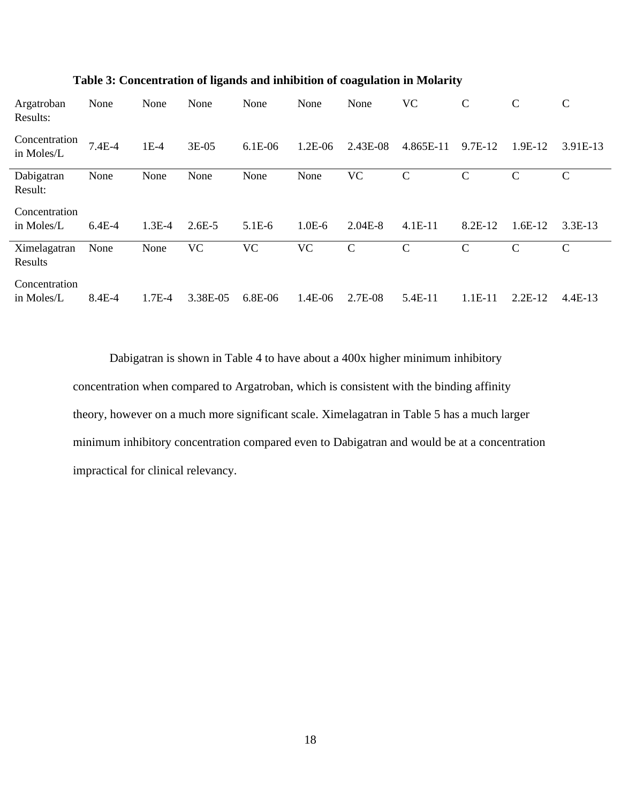| Argatroban<br>Results:      | None     | None     | None       | None      | None      | None        | <b>VC</b>     | $\mathcal{C}$ | $\mathcal{C}$ | $\mathcal{C}$ |
|-----------------------------|----------|----------|------------|-----------|-----------|-------------|---------------|---------------|---------------|---------------|
| Concentration<br>in Moles/L | 7.4E-4   | $1E-4$   | 3E-05      | 6.1E-06   | 1.2E-06   | 2.43E-08    | 4.865E-11     | 9.7E-12       | 1.9E-12       | 3.91E-13      |
| Dabigatran<br>Result:       | None     | None     | None       | None      | None      | VC          | $\mathcal{C}$ | $\mathbf C$   | C             | $\mathsf{C}$  |
| Concentration<br>in Moles/L | $6.4E-4$ | $1.3E-4$ | $2.6E - 5$ | $5.1E-6$  | $1.0E-6$  | $2.04E-8$   | $4.1E-11$     | 8.2E-12       | $1.6E-12$     | $3.3E-13$     |
| Ximelagatran<br>Results     | None     | None     | <b>VC</b>  | <b>VC</b> | <b>VC</b> | $\mathbf C$ | $\mathbf C$   | $\mathbf C$   | $\mathcal{C}$ | $\mathcal{C}$ |
| Concentration<br>in Moles/L | 8.4E-4   | $1.7E-4$ | 3.38E-05   | 6.8E-06   | 1.4E-06   | 2.7E-08     | 5.4E-11       | 1.1E-11       | $2.2E-12$     | $4.4E-13$     |

### <span id="page-24-0"></span>**Table 3: Concentration of ligands and inhibition of coagulation in Molarity**

Dabigatran is shown in Table 4 to have about a 400x higher minimum inhibitory concentration when compared to Argatroban, which is consistent with the binding affinity theory, however on a much more significant scale. Ximelagatran in Table 5 has a much larger minimum inhibitory concentration compared even to Dabigatran and would be at a concentration impractical for clinical relevancy.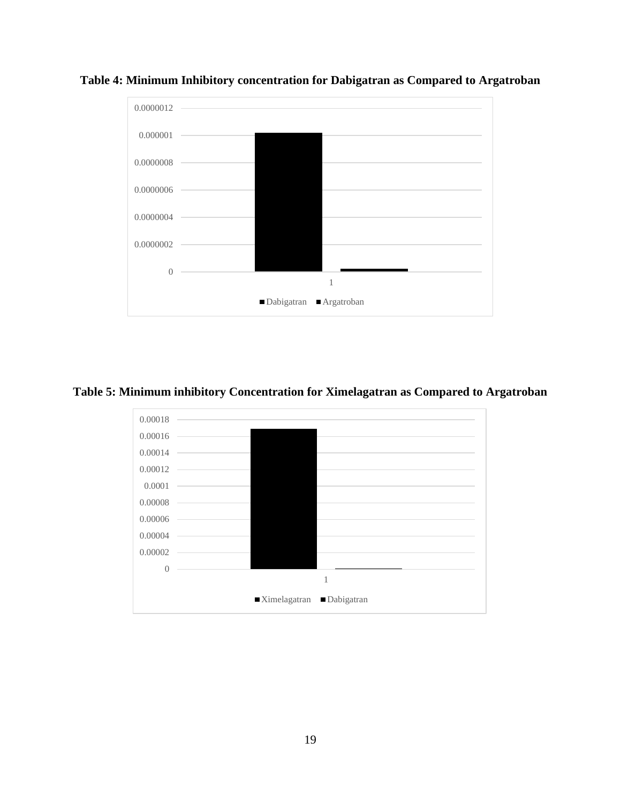

<span id="page-25-0"></span>**Table 4: Minimum Inhibitory concentration for Dabigatran as Compared to Argatroban**

### <span id="page-25-1"></span>**Table 5: Minimum inhibitory Concentration for Ximelagatran as Compared to Argatroban**

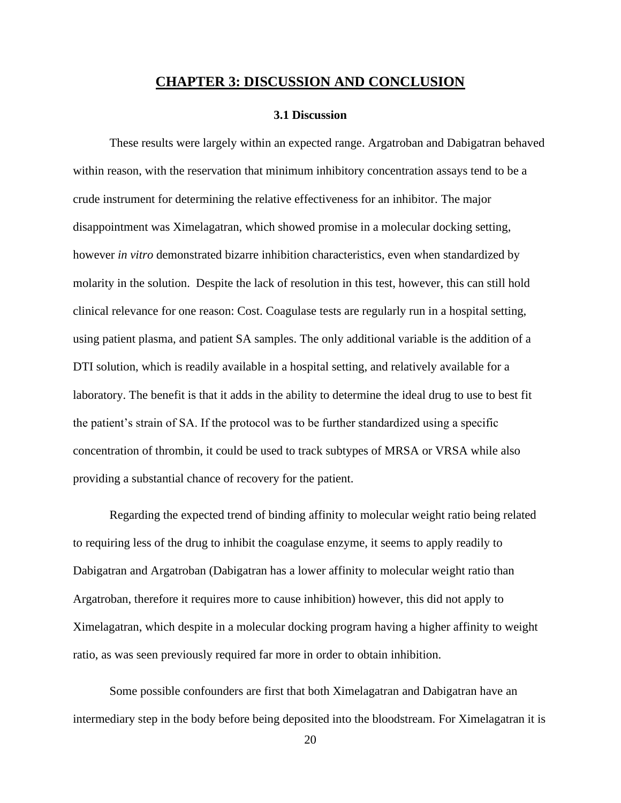### **CHAPTER 3: DISCUSSION AND CONCLUSION**

#### **3.1 Discussion**

<span id="page-26-1"></span><span id="page-26-0"></span>These results were largely within an expected range. Argatroban and Dabigatran behaved within reason, with the reservation that minimum inhibitory concentration assays tend to be a crude instrument for determining the relative effectiveness for an inhibitor. The major disappointment was Ximelagatran, which showed promise in a molecular docking setting, however *in vitro* demonstrated bizarre inhibition characteristics, even when standardized by molarity in the solution. Despite the lack of resolution in this test, however, this can still hold clinical relevance for one reason: Cost. Coagulase tests are regularly run in a hospital setting, using patient plasma, and patient SA samples. The only additional variable is the addition of a DTI solution, which is readily available in a hospital setting, and relatively available for a laboratory. The benefit is that it adds in the ability to determine the ideal drug to use to best fit the patient's strain of SA. If the protocol was to be further standardized using a specific concentration of thrombin, it could be used to track subtypes of MRSA or VRSA while also providing a substantial chance of recovery for the patient.

Regarding the expected trend of binding affinity to molecular weight ratio being related to requiring less of the drug to inhibit the coagulase enzyme, it seems to apply readily to Dabigatran and Argatroban (Dabigatran has a lower affinity to molecular weight ratio than Argatroban, therefore it requires more to cause inhibition) however, this did not apply to Ximelagatran, which despite in a molecular docking program having a higher affinity to weight ratio, as was seen previously required far more in order to obtain inhibition.

Some possible confounders are first that both Ximelagatran and Dabigatran have an intermediary step in the body before being deposited into the bloodstream. For Ximelagatran it is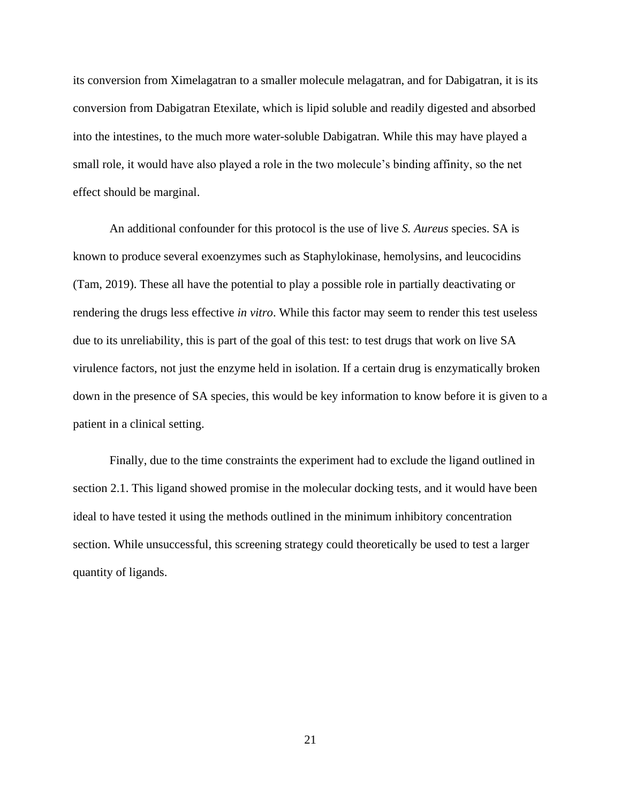its conversion from Ximelagatran to a smaller molecule melagatran, and for Dabigatran, it is its conversion from Dabigatran Etexilate, which is lipid soluble and readily digested and absorbed into the intestines, to the much more water-soluble Dabigatran. While this may have played a small role, it would have also played a role in the two molecule's binding affinity, so the net effect should be marginal.

An additional confounder for this protocol is the use of live *S. Aureus* species. SA is known to produce several exoenzymes such as Staphylokinase, hemolysins, and leucocidins (Tam, 2019). These all have the potential to play a possible role in partially deactivating or rendering the drugs less effective *in vitro*. While this factor may seem to render this test useless due to its unreliability, this is part of the goal of this test: to test drugs that work on live SA virulence factors, not just the enzyme held in isolation. If a certain drug is enzymatically broken down in the presence of SA species, this would be key information to know before it is given to a patient in a clinical setting.

Finally, due to the time constraints the experiment had to exclude the ligand outlined in section 2.1. This ligand showed promise in the molecular docking tests, and it would have been ideal to have tested it using the methods outlined in the minimum inhibitory concentration section. While unsuccessful, this screening strategy could theoretically be used to test a larger quantity of ligands.

21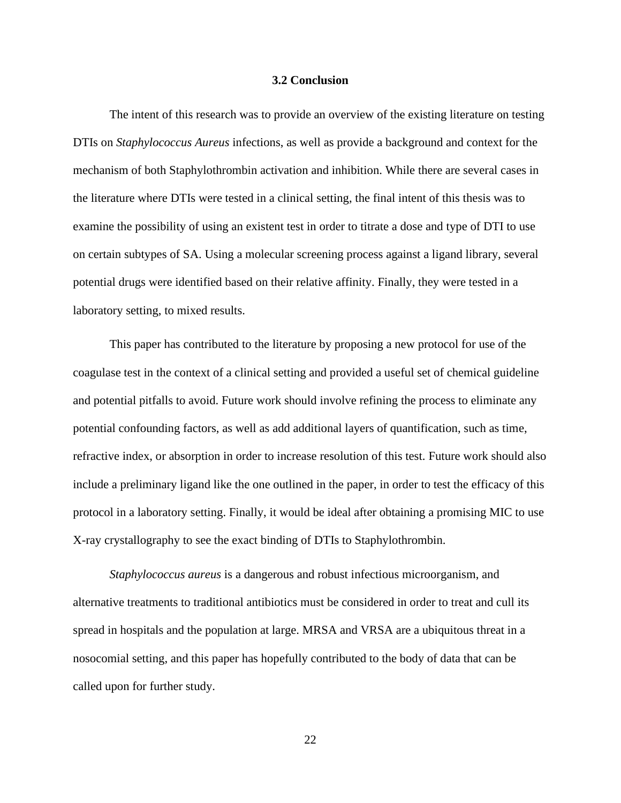#### **3.2 Conclusion**

<span id="page-28-0"></span>The intent of this research was to provide an overview of the existing literature on testing DTIs on *Staphylococcus Aureus* infections, as well as provide a background and context for the mechanism of both Staphylothrombin activation and inhibition. While there are several cases in the literature where DTIs were tested in a clinical setting, the final intent of this thesis was to examine the possibility of using an existent test in order to titrate a dose and type of DTI to use on certain subtypes of SA. Using a molecular screening process against a ligand library, several potential drugs were identified based on their relative affinity. Finally, they were tested in a laboratory setting, to mixed results.

This paper has contributed to the literature by proposing a new protocol for use of the coagulase test in the context of a clinical setting and provided a useful set of chemical guideline and potential pitfalls to avoid. Future work should involve refining the process to eliminate any potential confounding factors, as well as add additional layers of quantification, such as time, refractive index, or absorption in order to increase resolution of this test. Future work should also include a preliminary ligand like the one outlined in the paper, in order to test the efficacy of this protocol in a laboratory setting. Finally, it would be ideal after obtaining a promising MIC to use X-ray crystallography to see the exact binding of DTIs to Staphylothrombin.

*Staphylococcus aureus* is a dangerous and robust infectious microorganism, and alternative treatments to traditional antibiotics must be considered in order to treat and cull its spread in hospitals and the population at large. MRSA and VRSA are a ubiquitous threat in a nosocomial setting, and this paper has hopefully contributed to the body of data that can be called upon for further study.

22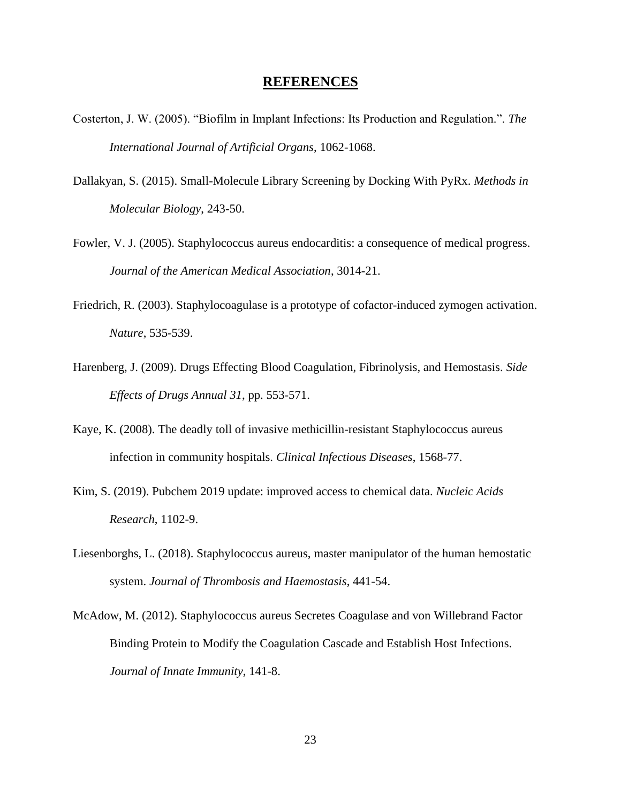### **REFERENCES**

- Costerton, J. W. (2005). "Biofilm in Implant Infections: Its Production and Regulation.". *The International Journal of Artificial Organs*, 1062-1068.
- Dallakyan, S. (2015). Small-Molecule Library Screening by Docking With PyRx. *Methods in Molecular Biology*, 243-50.
- Fowler, V. J. (2005). Staphylococcus aureus endocarditis: a consequence of medical progress. *Journal of the American Medical Association*, 3014-21.
- Friedrich, R. (2003). Staphylocoagulase is a prototype of cofactor-induced zymogen activation. *Nature*, 535-539.
- Harenberg, J. (2009). Drugs Effecting Blood Coagulation, Fibrinolysis, and Hemostasis. *Side Effects of Drugs Annual 31*, pp. 553-571.
- Kaye, K. (2008). The deadly toll of invasive methicillin-resistant Staphylococcus aureus infection in community hospitals. *Clinical Infectious Diseases*, 1568-77.
- Kim, S. (2019). Pubchem 2019 update: improved access to chemical data. *Nucleic Acids Research*, 1102-9.
- Liesenborghs, L. (2018). Staphylococcus aureus, master manipulator of the human hemostatic system. *Journal of Thrombosis and Haemostasis*, 441-54.
- McAdow, M. (2012). Staphylococcus aureus Secretes Coagulase and von Willebrand Factor Binding Protein to Modify the Coagulation Cascade and Establish Host Infections. *Journal of Innate Immunity*, 141-8.